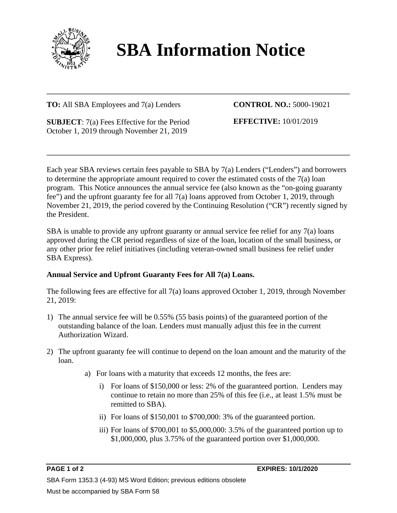

## **SBA Information Notice**

## **TO:** All SBA Employees and 7(a) Lenders

**CONTROL NO.:** 5000-19021

**SUBJECT**: 7(a) Fees Effective for the Period October 1, 2019 through November 21, 2019

**EFFECTIVE:** 10/01/2019

Each year SBA reviews certain fees payable to SBA by 7(a) Lenders ("Lenders") and borrowers to determine the appropriate amount required to cover the estimated costs of the 7(a) loan program. This Notice announces the annual service fee (also known as the "on-going guaranty fee") and the upfront guaranty fee for all 7(a) loans approved from October 1, 2019, through November 21, 2019, the period covered by the Continuing Resolution ("CR") recently signed by the President.

SBA is unable to provide any upfront guaranty or annual service fee relief for any 7(a) loans approved during the CR period regardless of size of the loan, location of the small business, or any other prior fee relief initiatives (including veteran-owned small business fee relief under SBA Express).

## **Annual Service and Upfront Guaranty Fees for All 7(a) Loans.**

The following fees are effective for all 7(a) loans approved October 1, 2019, through November 21, 2019:

- 1) The annual service fee will be 0.55% (55 basis points) of the guaranteed portion of the outstanding balance of the loan. Lenders must manually adjust this fee in the current Authorization Wizard.
- 2) The upfront guaranty fee will continue to depend on the loan amount and the maturity of the loan.
	- a) For loans with a maturity that exceeds 12 months, the fees are:
		- i) For loans of \$150,000 or less: 2% of the guaranteed portion. Lenders may continue to retain no more than 25% of this fee (i.e., at least 1.5% must be remitted to SBA).
		- ii) For loans of \$150,001 to \$700,000: 3% of the guaranteed portion.
		- iii) For loans of \$700,001 to \$5,000,000: 3.5% of the guaranteed portion up to \$1,000,000, plus 3.75% of the guaranteed portion over \$1,000,000.